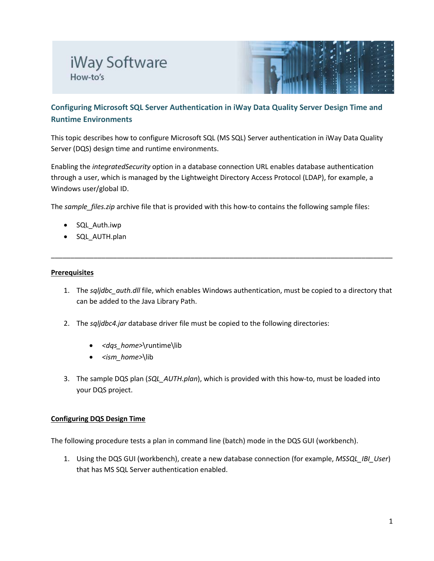# iWay Software How-to's



# **Configuring Microsoft SQL Server Authentication in iWay Data Quality Server Design Time and Runtime Environments**

This topic describes how to configure Microsoft SQL (MS SQL) Server authentication in iWay Data Quality Server (DQS) design time and runtime environments.

Enabling the *integratedSecurity* option in a database connection URL enables database authentication through a user, which is managed by the Lightweight Directory Access Protocol (LDAP), for example, a Windows user/global ID.

The *sample\_files.zip* archive file that is provided with this how-to contains the following sample files:

- SQL\_Auth.iwp
- SQL\_AUTH.plan

#### **Prerequisites**

1. The *sqljdbc\_auth.dll* file, which enables Windows authentication, must be copied to a directory that can be added to the Java Library Path.

\_\_\_\_\_\_\_\_\_\_\_\_\_\_\_\_\_\_\_\_\_\_\_\_\_\_\_\_\_\_\_\_\_\_\_\_\_\_\_\_\_\_\_\_\_\_\_\_\_\_\_\_\_\_\_\_\_\_\_\_\_\_\_\_\_\_\_\_\_\_\_\_\_\_\_\_\_\_\_\_\_\_\_\_\_\_\_\_

- 2. The *sqljdbc4.jar* database driver file must be copied to the following directories:
	- *<dqs\_home>*\runtime\lib
	- *<ism\_home>*\lib
- 3. The sample DQS plan (*SQL\_AUTH.plan*), which is provided with this how-to, must be loaded into your DQS project.

## **Configuring DQS Design Time**

The following procedure tests a plan in command line (batch) mode in the DQS GUI (workbench).

1. Using the DQS GUI (workbench), create a new database connection (for example, *MSSQL\_IBI\_User*) that has MS SQL Server authentication enabled.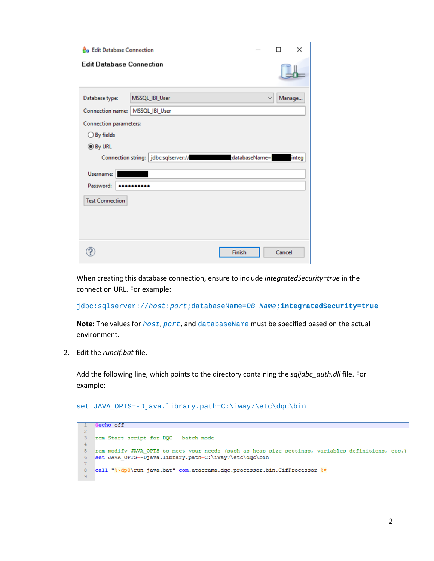| <b>A</b> <sub>n</sub> Edit Database Connection                   |                |        |  | п      | × |  |
|------------------------------------------------------------------|----------------|--------|--|--------|---|--|
| <b>Edit Database Connection</b>                                  |                |        |  |        |   |  |
| Database type:                                                   | MSSQL_IBI_User |        |  | Manage |   |  |
| Connection name:   MSSQL_IBI_User                                |                |        |  |        |   |  |
| <b>Connection parameters:</b>                                    |                |        |  |        |   |  |
| $\bigcirc$ By fields                                             |                |        |  |        |   |  |
| <b> I</b> By URL                                                 |                |        |  |        |   |  |
| databaseName=<br>Connection string:   jdbc:sqlserver://<br>integ |                |        |  |        |   |  |
| Username:                                                        |                |        |  |        |   |  |
| Password:                                                        |                |        |  |        |   |  |
| <b>Test Connection</b>                                           |                |        |  |        |   |  |
|                                                                  |                |        |  |        |   |  |
|                                                                  |                |        |  |        |   |  |
|                                                                  |                |        |  |        |   |  |
|                                                                  |                | Finish |  | Cancel |   |  |

When creating this database connection, ensure to include *integratedSecurity=true* in the connection URL. For example:

jdbc:sqlserver://*host*:*port*;databaseName=*DB\_Name*;**integratedSecurity=true**

**Note:** The values for *host*, *port*, and databaseName must be specified based on the actual environment.

2. Edit the *runcif.bat* file.

Add the following line, which points to the directory containing the *sqljdbc\_auth.dll* file. For example:

set JAVA\_OPTS=-Djava.library.path=C:\iway7\etc\dqc\bin

**@echo off**  $\overline{2}$  $\mathbf{3}$ rem Start script for DQC - batch mode  $\overline{4}$  $\sqrt{5}$ rem modify JAVA OPTS to meet your needs (such as heap size settings, variables definitions, etc.)  $\texttt{dWA_OPTS} = \bar{D}java.library.path = C:\iway7\etc\dqc\binom{N}{1}$  $\sqrt{6}$  $\overline{7}$  $8<sup>1</sup>$ call "%~dp0\run\_java.bat" com.ataccama.dqc.processor.bin.CifProcessor %\*  $9^{\circ}$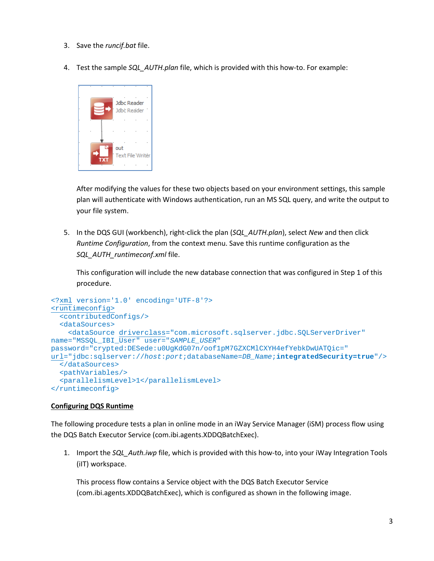- 3. Save the *runcif.bat* file.
- 4. Test the sample *SQL\_AUTH.plan* file, which is provided with this how-to. For example:



After modifying the values for these two objects based on your environment settings, this sample plan will authenticate with Windows authentication, run an MS SQL query, and write the output to your file system.

5. In the DQS GUI (workbench), right-click the plan (*SQL\_AUTH.plan*), select *New* and then click *Runtime Configuration*, from the context menu. Save this runtime configuration as the *SQL\_AUTH\_runtimeconf.xml* file.

This configuration will include the new database connection that was configured in Step 1 of this procedure.

```
<?xml version='1.0' encoding='UTF-8'?>
<runtimeconfig>
   <contributedConfigs/>
   <dataSources>
     <dataSource driverclass="com.microsoft.sqlserver.jdbc.SQLServerDriver" 
name="MSSQL_IBI_User" user="SAMPLE_USER" 
password="crypted:DESede:u0UgKdG07n/oof1pM7GZXCMlCXYH4efYebkDwUATQic=" 
url="jdbc:sqlserver://host:port;databaseName=DB_Name;integratedSecurity=true"/>
   </dataSources>
   <pathVariables/>
   <parallelismLevel>1</parallelismLevel>
</runtimeconfig>
```
## **Configuring DQS Runtime**

The following procedure tests a plan in online mode in an iWay Service Manager (iSM) process flow using the DQS Batch Executor Service (com.ibi.agents.XDDQBatchExec).

1. Import the *SQL\_Auth.iwp* file, which is provided with this how-to, into your iWay Integration Tools (iIT) workspace.

This process flow contains a Service object with the DQS Batch Executor Service (com.ibi.agents.XDDQBatchExec), which is configured as shown in the following image.